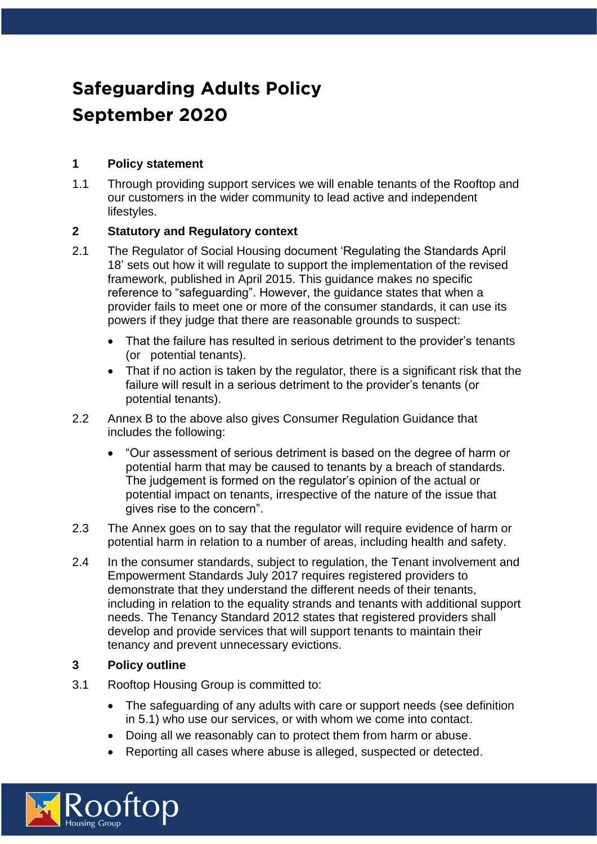# **Safeguarding Adults Policy September 2020**

# **1 Policy statement**

1.1 Through providing support services we will enable tenants of the Rooftop and our customers in the wider community to lead active and independent lifestyles.

## **2 Statutory and Regulatory context**

- 2.1 The Regulator of Social Housing document 'Regulating the Standards April 18' sets out how it will regulate to support the implementation of the revised framework, published in April 2015. This guidance makes no specific reference to "safeguarding". However, the guidance states that when a provider fails to meet one or more of the consumer standards, it can use its powers if they judge that there are reasonable grounds to suspect:
	- That the failure has resulted in serious detriment to the provider's tenants (or potential tenants).
	- That if no action is taken by the regulator, there is a significant risk that the failure will result in a serious detriment to the provider's tenants (or potential tenants).
- 2.2 Annex B to the above also gives Consumer Regulation Guidance that includes the following:
	- "Our assessment of serious detriment is based on the degree of harm or potential harm that may be caused to tenants by a breach of standards. The judgement is formed on the regulator's opinion of the actual or potential impact on tenants, irrespective of the nature of the issue that gives rise to the concern".
- 2.3 The Annex goes on to say that the regulator will require evidence of harm or potential harm in relation to a number of areas, including health and safety.
- 2.4 In the consumer standards, subject to regulation, the Tenant involvement and Empowerment Standards July 2017 requires registered providers to demonstrate that they understand the different needs of their tenants, including in relation to the equality strands and tenants with additional support needs. The Tenancy Standard 2012 states that registered providers shall develop and provide services that will support tenants to maintain their tenancy and prevent unnecessary evictions.

#### **3 Policy outline**

- 3.1 Rooftop Housing Group is committed to:
	- The safeguarding of any adults with care or support needs (see definition in 5.1) who use our services, or with whom we come into contact.
	- Doing all we reasonably can to protect them from harm or abuse.
	- Reporting all cases where abuse is alleged, suspected or detected.

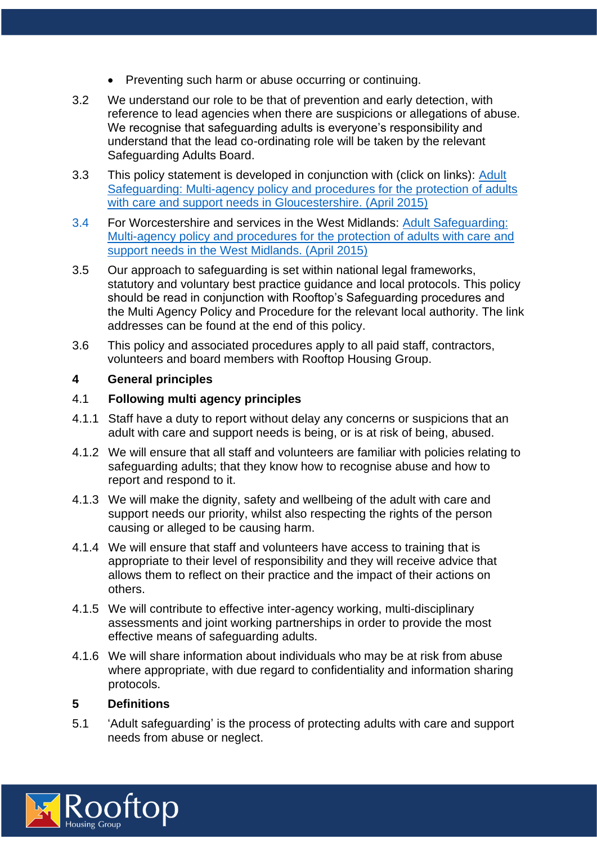- Preventing such harm or abuse occurring or continuing.
- 3.2 We understand our role to be that of prevention and early detection, with reference to lead agencies when there are suspicions or allegations of abuse. We recognise that safeguarding adults is everyone's responsibility and understand that the lead co-ordinating role will be taken by the relevant Safeguarding Adults Board.
- 3.3 This policy statement is developed in conjunction with (click on links): [Adult](http://www.gloucestershire.gov.uk/gsab/CHttpHandler.ashx?id=64366&p=0)  [Safeguarding: Multi-agency policy and procedures for the protection of adults](http://www.gloucestershire.gov.uk/gsab/CHttpHandler.ashx?id=64366&p=0)  with care and [support needs in Gloucestershire. \(April 2015\)](http://www.gloucestershire.gov.uk/gsab/CHttpHandler.ashx?id=64366&p=0)
- 3.4 For Worcestershire and services in the West Midlands: [Adult Safeguarding:](http://www.worcestershire.gov.uk/downloads/file/5646/west_midlands_adult_safeguarding_policy_and_procedures)  [Multi-agency policy and procedures for the protection of adults with care and](http://www.worcestershire.gov.uk/downloads/file/5646/west_midlands_adult_safeguarding_policy_and_procedures)  [support needs in the West Midlands. \(April 2015\)](http://www.worcestershire.gov.uk/downloads/file/5646/west_midlands_adult_safeguarding_policy_and_procedures)
- 3.5 Our approach to safeguarding is set within national legal frameworks, statutory and voluntary best practice guidance and local protocols. This policy should be read in conjunction with Rooftop's Safeguarding procedures and the Multi Agency Policy and Procedure for the relevant local authority. The link addresses can be found at the end of this policy.
- 3.6 This policy and associated procedures apply to all paid staff, contractors, volunteers and board members with Rooftop Housing Group.

#### **4 General principles**

#### 4.1 **Following multi agency principles**

- 4.1.1 Staff have a duty to report without delay any concerns or suspicions that an adult with care and support needs is being, or is at risk of being, abused.
- 4.1.2 We will ensure that all staff and volunteers are familiar with policies relating to safeguarding adults; that they know how to recognise abuse and how to report and respond to it.
- 4.1.3 We will make the dignity, safety and wellbeing of the adult with care and support needs our priority, whilst also respecting the rights of the person causing or alleged to be causing harm.
- 4.1.4 We will ensure that staff and volunteers have access to training that is appropriate to their level of responsibility and they will receive advice that allows them to reflect on their practice and the impact of their actions on others.
- 4.1.5 We will contribute to effective inter-agency working, multi-disciplinary assessments and joint working partnerships in order to provide the most effective means of safeguarding adults.
- 4.1.6 We will share information about individuals who may be at risk from abuse where appropriate, with due regard to confidentiality and information sharing protocols.

#### **5 Definitions**

5.1 'Adult safeguarding' is the process of protecting adults with care and support needs from abuse or neglect.

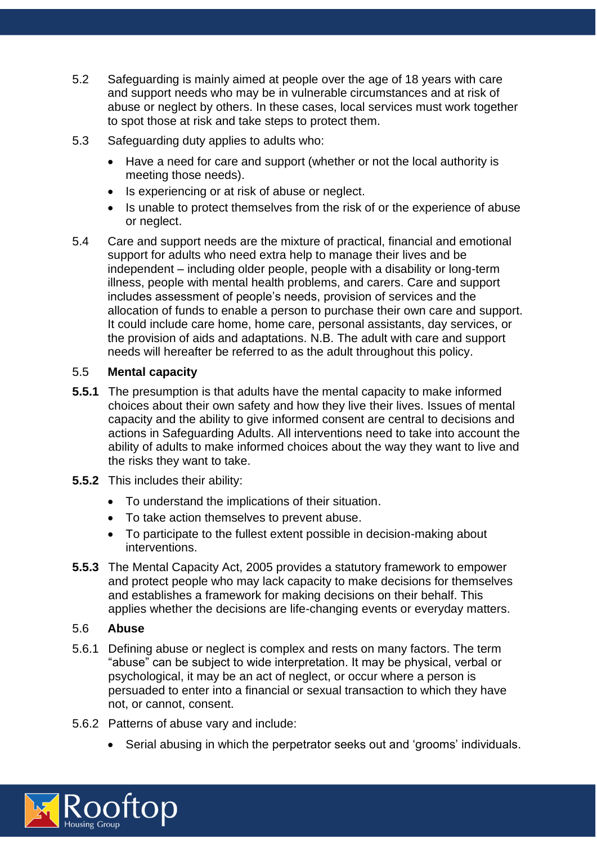- 5.2 Safeguarding is mainly aimed at people over the age of 18 years with care and support needs who may be in vulnerable circumstances and at risk of abuse or neglect by others. In these cases, local services must work together to spot those at risk and take steps to protect them.
- 5.3 Safeguarding duty applies to adults who:
	- Have a need for care and support (whether or not the local authority is meeting those needs).
	- Is experiencing or at risk of abuse or neglect.
	- Is unable to protect themselves from the risk of or the experience of abuse or neglect.
- 5.4 Care and support needs are the mixture of practical, financial and emotional support for adults who need extra help to manage their lives and be independent – including older people, people with a disability or long-term illness, people with mental health problems, and carers. Care and support includes assessment of people's needs, provision of services and the allocation of funds to enable a person to purchase their own care and support. It could include care home, home care, personal assistants, day services, or the provision of aids and adaptations. N.B. The adult with care and support needs will hereafter be referred to as the adult throughout this policy.

#### 5.5 **Mental capacity**

- **5.5.1** The presumption is that adults have the mental capacity to make informed choices about their own safety and how they live their lives. Issues of mental capacity and the ability to give informed consent are central to decisions and actions in Safeguarding Adults. All interventions need to take into account the ability of adults to make informed choices about the way they want to live and the risks they want to take.
- **5.5.2** This includes their ability:
	- To understand the implications of their situation.
	- To take action themselves to prevent abuse.
	- To participate to the fullest extent possible in decision-making about interventions.
- **5.5.3** The Mental Capacity Act, 2005 provides a statutory framework to empower and protect people who may lack capacity to make decisions for themselves and establishes a framework for making decisions on their behalf. This applies whether the decisions are life-changing events or everyday matters.

#### 5.6 **Abuse**

- 5.6.1 Defining abuse or neglect is complex and rests on many factors. The term "abuse" can be subject to wide interpretation. It may be physical, verbal or psychological, it may be an act of neglect, or occur where a person is persuaded to enter into a financial or sexual transaction to which they have not, or cannot, consent.
- 5.6.2 Patterns of abuse vary and include:
	- Serial abusing in which the perpetrator seeks out and 'grooms' individuals.

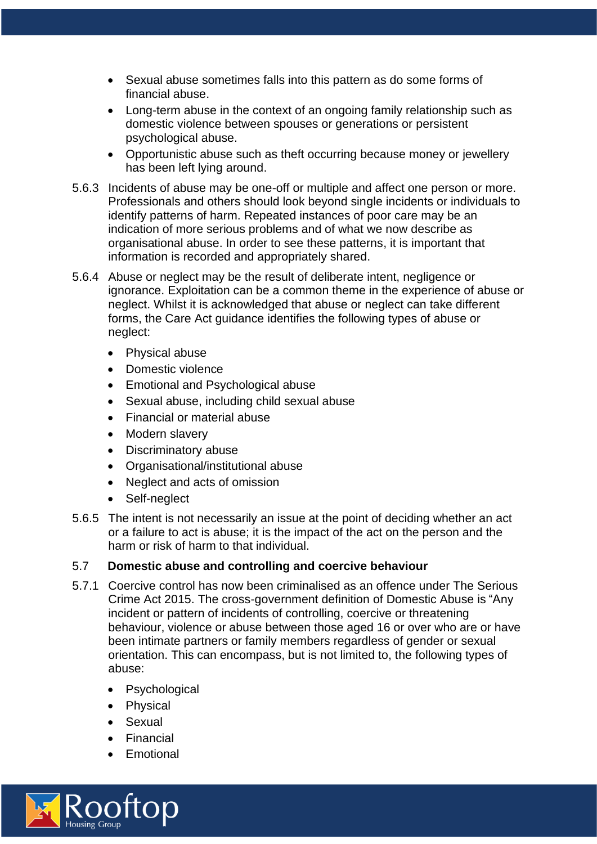- Sexual abuse sometimes falls into this pattern as do some forms of financial abuse.
- Long-term abuse in the context of an ongoing family relationship such as domestic violence between spouses or generations or persistent psychological abuse.
- Opportunistic abuse such as theft occurring because money or jewellery has been left lying around.
- 5.6.3 Incidents of abuse may be one-off or multiple and affect one person or more. Professionals and others should look beyond single incidents or individuals to identify patterns of harm. Repeated instances of poor care may be an indication of more serious problems and of what we now describe as organisational abuse. In order to see these patterns, it is important that information is recorded and appropriately shared.
- 5.6.4 Abuse or neglect may be the result of deliberate intent, negligence or ignorance. Exploitation can be a common theme in the experience of abuse or neglect. Whilst it is acknowledged that abuse or neglect can take different forms, the Care Act guidance identifies the following types of abuse or neglect:
	- Physical abuse
	- Domestic violence
	- Emotional and Psychological abuse
	- Sexual abuse, including child sexual abuse
	- Financial or material abuse
	- Modern slavery
	- Discriminatory abuse
	- Organisational/institutional abuse
	- Neglect and acts of omission
	- Self-neglect
- 5.6.5 The intent is not necessarily an issue at the point of deciding whether an act or a failure to act is abuse; it is the impact of the act on the person and the harm or risk of harm to that individual.

#### 5.7 **Domestic abuse and controlling and coercive behaviour**

- 5.7.1 Coercive control has now been criminalised as an offence under The Serious Crime Act 2015. The cross-government definition of Domestic Abuse is "Any incident or pattern of incidents of controlling, coercive or threatening behaviour, violence or abuse between those aged 16 or over who are or have been intimate partners or family members regardless of gender or sexual orientation. This can encompass, but is not limited to, the following types of abuse:
	- Psychological
	- Physical
	- Sexual
	- Financial
	- Emotional

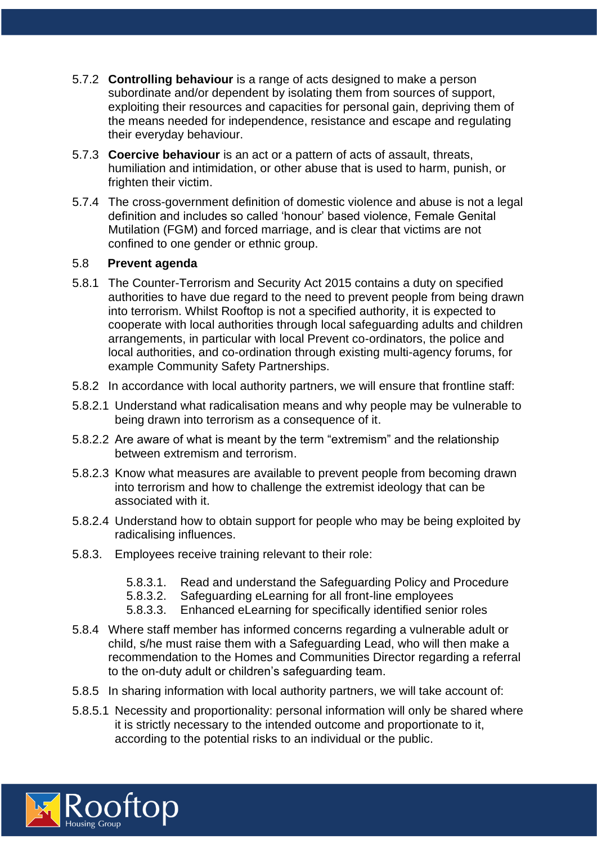- 5.7.2 **Controlling behaviour** is a range of acts designed to make a person subordinate and/or dependent by isolating them from sources of support, exploiting their resources and capacities for personal gain, depriving them of the means needed for independence, resistance and escape and regulating their everyday behaviour.
- 5.7.3 **Coercive behaviour** is an act or a pattern of acts of assault, threats, humiliation and intimidation, or other abuse that is used to harm, punish, or frighten their victim.
- 5.7.4 The cross-government definition of domestic violence and abuse is not a legal definition and includes so called 'honour' based violence, Female Genital Mutilation (FGM) and forced marriage, and is clear that victims are not confined to one gender or ethnic group.

#### 5.8 **Prevent agenda**

- 5.8.1 The Counter-Terrorism and Security Act 2015 contains a duty on specified authorities to have due regard to the need to prevent people from being drawn into terrorism. Whilst Rooftop is not a specified authority, it is expected to cooperate with local authorities through local safeguarding adults and children arrangements, in particular with local Prevent co-ordinators, the police and local authorities, and co-ordination through existing multi-agency forums, for example Community Safety Partnerships.
- 5.8.2 In accordance with local authority partners, we will ensure that frontline staff:
- 5.8.2.1 Understand what radicalisation means and why people may be vulnerable to being drawn into terrorism as a consequence of it.
- 5.8.2.2 Are aware of what is meant by the term "extremism" and the relationship between extremism and terrorism.
- 5.8.2.3 Know what measures are available to prevent people from becoming drawn into terrorism and how to challenge the extremist ideology that can be associated with it.
- 5.8.2.4 Understand how to obtain support for people who may be being exploited by radicalising influences.
- 5.8.3. Employees receive training relevant to their role:
	- 5.8.3.1. Read and understand the Safeguarding Policy and Procedure
	- 5.8.3.2. Safeguarding eLearning for all front-line employees
	- 5.8.3.3. Enhanced eLearning for specifically identified senior roles
- 5.8.4 Where staff member has informed concerns regarding a vulnerable adult or child, s/he must raise them with a Safeguarding Lead, who will then make a recommendation to the Homes and Communities Director regarding a referral to the on-duty adult or children's safeguarding team.
- 5.8.5 In sharing information with local authority partners, we will take account of:
- 5.8.5.1 Necessity and proportionality: personal information will only be shared where it is strictly necessary to the intended outcome and proportionate to it, according to the potential risks to an individual or the public.

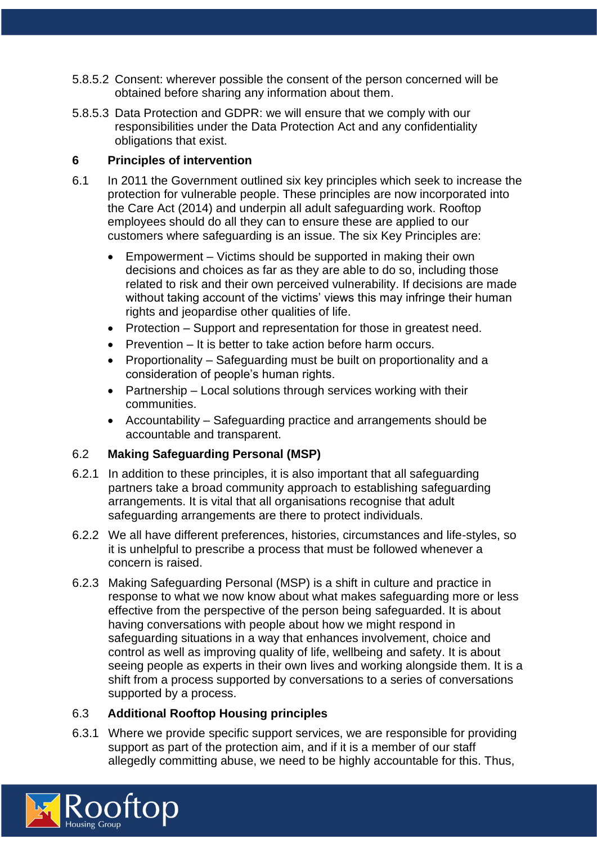- 5.8.5.2 Consent: wherever possible the consent of the person concerned will be obtained before sharing any information about them.
- 5.8.5.3 Data Protection and GDPR: we will ensure that we comply with our responsibilities under the Data Protection Act and any confidentiality obligations that exist.

## **6 Principles of intervention**

- 6.1 In 2011 the Government outlined six key principles which seek to increase the protection for vulnerable people. These principles are now incorporated into the Care Act (2014) and underpin all adult safeguarding work. Rooftop employees should do all they can to ensure these are applied to our customers where safeguarding is an issue. The six Key Principles are:
	- Empowerment Victims should be supported in making their own decisions and choices as far as they are able to do so, including those related to risk and their own perceived vulnerability. If decisions are made without taking account of the victims' views this may infringe their human rights and jeopardise other qualities of life.
	- Protection Support and representation for those in greatest need.
	- Prevention It is better to take action before harm occurs.
	- Proportionality Safeguarding must be built on proportionality and a consideration of people's human rights.
	- Partnership Local solutions through services working with their communities.
	- Accountability Safeguarding practice and arrangements should be accountable and transparent.

#### 6.2 **Making Safeguarding Personal (MSP)**

- 6.2.1 In addition to these principles, it is also important that all safeguarding partners take a broad community approach to establishing safeguarding arrangements. It is vital that all organisations recognise that adult safeguarding arrangements are there to protect individuals.
- 6.2.2 We all have different preferences, histories, circumstances and life-styles, so it is unhelpful to prescribe a process that must be followed whenever a concern is raised.
- 6.2.3 Making Safeguarding Personal (MSP) is a shift in culture and practice in response to what we now know about what makes safeguarding more or less effective from the perspective of the person being safeguarded. It is about having conversations with people about how we might respond in safeguarding situations in a way that enhances involvement, choice and control as well as improving quality of life, wellbeing and safety. It is about seeing people as experts in their own lives and working alongside them. It is a shift from a process supported by conversations to a series of conversations supported by a process.

#### 6.3 **Additional Rooftop Housing principles**

6.3.1 Where we provide specific support services, we are responsible for providing support as part of the protection aim, and if it is a member of our staff allegedly committing abuse, we need to be highly accountable for this. Thus,

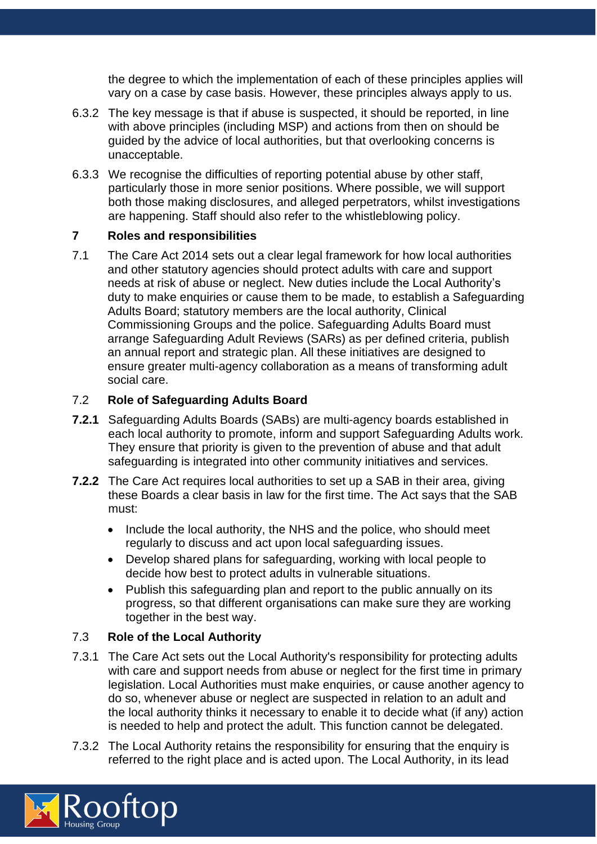the degree to which the implementation of each of these principles applies will vary on a case by case basis. However, these principles always apply to us.

- 6.3.2 The key message is that if abuse is suspected, it should be reported, in line with above principles (including MSP) and actions from then on should be guided by the advice of local authorities, but that overlooking concerns is unacceptable.
- 6.3.3 We recognise the difficulties of reporting potential abuse by other staff, particularly those in more senior positions. Where possible, we will support both those making disclosures, and alleged perpetrators, whilst investigations are happening. Staff should also refer to the whistleblowing policy.

#### **7 Roles and responsibilities**

7.1 The Care Act 2014 sets out a clear legal framework for how local authorities and other statutory agencies should protect adults with care and support needs at risk of abuse or neglect. New duties include the Local Authority's duty to make enquiries or cause them to be made, to establish a Safeguarding Adults Board; statutory members are the local authority, Clinical Commissioning Groups and the police. Safeguarding Adults Board must arrange Safeguarding Adult Reviews (SARs) as per defined criteria, publish an annual report and strategic plan. All these initiatives are designed to ensure greater multi-agency collaboration as a means of transforming adult social care.

## 7.2 **Role of Safeguarding Adults Board**

- **7.2.1** Safeguarding Adults Boards (SABs) are multi-agency boards established in each local authority to promote, inform and support Safeguarding Adults work. They ensure that priority is given to the prevention of abuse and that adult safeguarding is integrated into other community initiatives and services.
- **7.2.2** The Care Act requires local authorities to set up a SAB in their area, giving these Boards a clear basis in law for the first time. The Act says that the SAB must:
	- Include the local authority, the NHS and the police, who should meet regularly to discuss and act upon local safeguarding issues.
	- Develop shared plans for safeguarding, working with local people to decide how best to protect adults in vulnerable situations.
	- Publish this safeguarding plan and report to the public annually on its progress, so that different organisations can make sure they are working together in the best way.

## 7.3 **Role of the Local Authority**

- 7.3.1 The Care Act sets out the Local Authority's responsibility for protecting adults with care and support needs from abuse or neglect for the first time in primary legislation. Local Authorities must make enquiries, or cause another agency to do so, whenever abuse or neglect are suspected in relation to an adult and the local authority thinks it necessary to enable it to decide what (if any) action is needed to help and protect the adult. This function cannot be delegated.
- 7.3.2 The Local Authority retains the responsibility for ensuring that the enquiry is referred to the right place and is acted upon. The Local Authority, in its lead

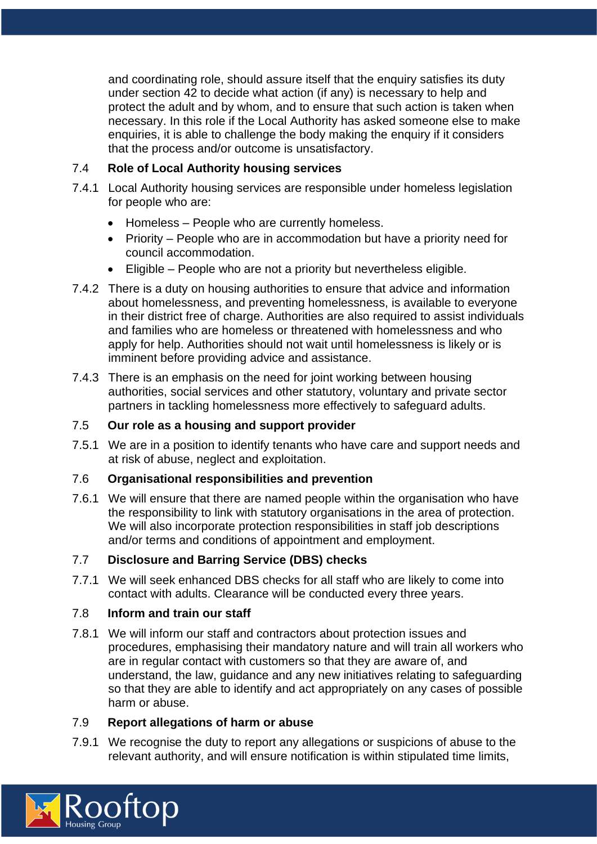and coordinating role, should assure itself that the enquiry satisfies its duty under section 42 to decide what action (if any) is necessary to help and protect the adult and by whom, and to ensure that such action is taken when necessary. In this role if the Local Authority has asked someone else to make enquiries, it is able to challenge the body making the enquiry if it considers that the process and/or outcome is unsatisfactory.

## 7.4 **Role of Local Authority housing services**

- 7.4.1 Local Authority housing services are responsible under homeless legislation for people who are:
	- Homeless People who are currently homeless.
	- Priority People who are in accommodation but have a priority need for council accommodation.
	- Eligible People who are not a priority but nevertheless eligible.
- 7.4.2 There is a duty on housing authorities to ensure that advice and information about homelessness, and preventing homelessness, is available to everyone in their district free of charge. Authorities are also required to assist individuals and families who are homeless or threatened with homelessness and who apply for help. Authorities should not wait until homelessness is likely or is imminent before providing advice and assistance.
- 7.4.3 There is an emphasis on the need for joint working between housing authorities, social services and other statutory, voluntary and private sector partners in tackling homelessness more effectively to safeguard adults.

## 7.5 **Our role as a housing and support provider**

7.5.1 We are in a position to identify tenants who have care and support needs and at risk of abuse, neglect and exploitation.

## 7.6 **Organisational responsibilities and prevention**

7.6.1 We will ensure that there are named people within the organisation who have the responsibility to link with statutory organisations in the area of protection. We will also incorporate protection responsibilities in staff job descriptions and/or terms and conditions of appointment and employment.

# 7.7 **Disclosure and Barring Service (DBS) checks**

7.7.1 We will seek enhanced DBS checks for all staff who are likely to come into contact with adults. Clearance will be conducted every three years.

## 7.8 **Inform and train our staff**

7.8.1 We will inform our staff and contractors about protection issues and procedures, emphasising their mandatory nature and will train all workers who are in regular contact with customers so that they are aware of, and understand, the law, guidance and any new initiatives relating to safeguarding so that they are able to identify and act appropriately on any cases of possible harm or abuse.

## 7.9 **Report allegations of harm or abuse**

7.9.1 We recognise the duty to report any allegations or suspicions of abuse to the relevant authority, and will ensure notification is within stipulated time limits,

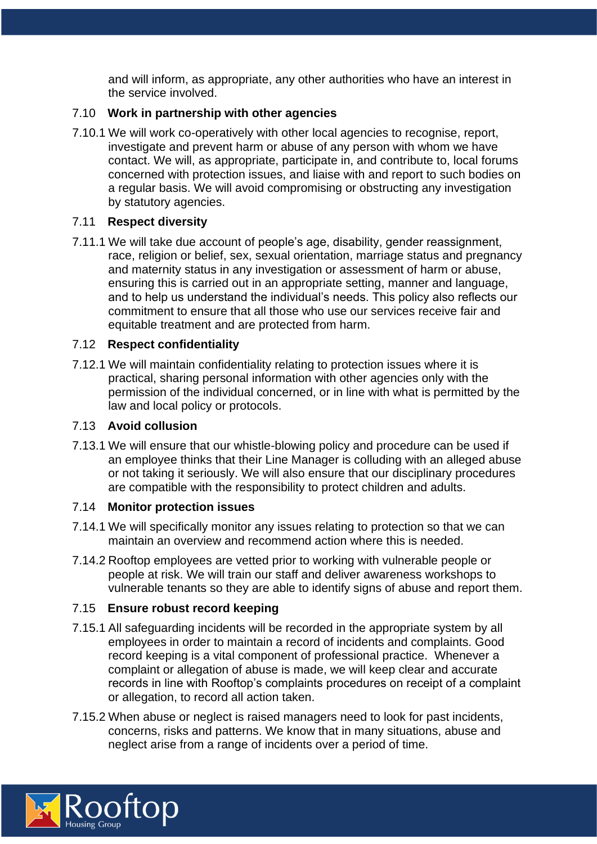and will inform, as appropriate, any other authorities who have an interest in the service involved.

## 7.10 **Work in partnership with other agencies**

7.10.1 We will work co-operatively with other local agencies to recognise, report, investigate and prevent harm or abuse of any person with whom we have contact. We will, as appropriate, participate in, and contribute to, local forums concerned with protection issues, and liaise with and report to such bodies on a regular basis. We will avoid compromising or obstructing any investigation by statutory agencies.

# 7.11 **Respect diversity**

7.11.1 We will take due account of people's age, disability, gender reassignment, race, religion or belief, sex, sexual orientation, marriage status and pregnancy and maternity status in any investigation or assessment of harm or abuse, ensuring this is carried out in an appropriate setting, manner and language, and to help us understand the individual's needs. This policy also reflects our commitment to ensure that all those who use our services receive fair and equitable treatment and are protected from harm.

## 7.12 **Respect confidentiality**

7.12.1 We will maintain confidentiality relating to protection issues where it is practical, sharing personal information with other agencies only with the permission of the individual concerned, or in line with what is permitted by the law and local policy or protocols.

# 7.13 **Avoid collusion**

7.13.1 We will ensure that our whistle-blowing policy and procedure can be used if an employee thinks that their Line Manager is colluding with an alleged abuse or not taking it seriously. We will also ensure that our disciplinary procedures are compatible with the responsibility to protect children and adults.

## 7.14 **Monitor protection issues**

- 7.14.1 We will specifically monitor any issues relating to protection so that we can maintain an overview and recommend action where this is needed.
- 7.14.2 Rooftop employees are vetted prior to working with vulnerable people or people at risk. We will train our staff and deliver awareness workshops to vulnerable tenants so they are able to identify signs of abuse and report them.

## 7.15 **Ensure robust record keeping**

- 7.15.1 All safeguarding incidents will be recorded in the appropriate system by all employees in order to maintain a record of incidents and complaints. Good record keeping is a vital component of professional practice. Whenever a complaint or allegation of abuse is made, we will keep clear and accurate records in line with Rooftop's complaints procedures on receipt of a complaint or allegation, to record all action taken.
- 7.15.2 When abuse or neglect is raised managers need to look for past incidents, concerns, risks and patterns. We know that in many situations, abuse and neglect arise from a range of incidents over a period of time.

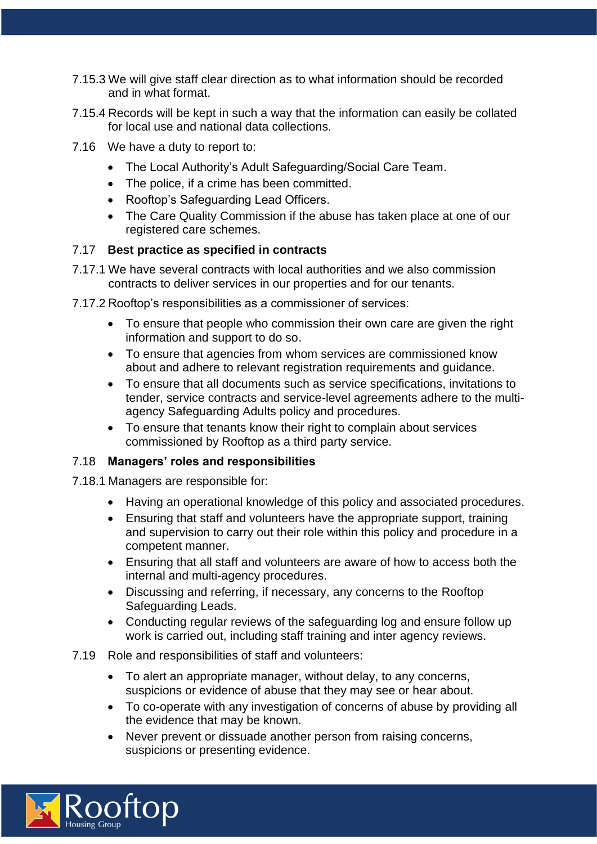- 7.15.3 We will give staff clear direction as to what information should be recorded and in what format.
- 7.15.4 Records will be kept in such a way that the information can easily be collated for local use and national data collections.
- 7.16 We have a duty to report to:
	- The Local Authority's Adult Safeguarding/Social Care Team.
	- The police, if a crime has been committed.
	- Rooftop's Safeguarding Lead Officers.
	- The Care Quality Commission if the abuse has taken place at one of our registered care schemes.

# 7.17 **Best practice as specified in contracts**

- 7.17.1 We have several contracts with local authorities and we also commission contracts to deliver services in our properties and for our tenants.
- 7.17.2 Rooftop's responsibilities as a commissioner of services:
	- To ensure that people who commission their own care are given the right information and support to do so.
	- To ensure that agencies from whom services are commissioned know about and adhere to relevant registration requirements and guidance.
	- To ensure that all documents such as service specifications, invitations to tender, service contracts and service-level agreements adhere to the multiagency Safeguarding Adults policy and procedures.
	- To ensure that tenants know their right to complain about services commissioned by Rooftop as a third party service.

## 7.18 **Managers' roles and responsibilities**

7.18.1 Managers are responsible for:

- Having an operational knowledge of this policy and associated procedures.
- Ensuring that staff and volunteers have the appropriate support, training and supervision to carry out their role within this policy and procedure in a competent manner.
- Ensuring that all staff and volunteers are aware of how to access both the internal and multi-agency procedures.
- Discussing and referring, if necessary, any concerns to the Rooftop Safeguarding Leads.
- Conducting regular reviews of the safeguarding log and ensure follow up work is carried out, including staff training and inter agency reviews.

## 7.19 Role and responsibilities of staff and volunteers:

- To alert an appropriate manager, without delay, to any concerns, suspicions or evidence of abuse that they may see or hear about.
- To co-operate with any investigation of concerns of abuse by providing all the evidence that may be known.
- Never prevent or dissuade another person from raising concerns, suspicions or presenting evidence.

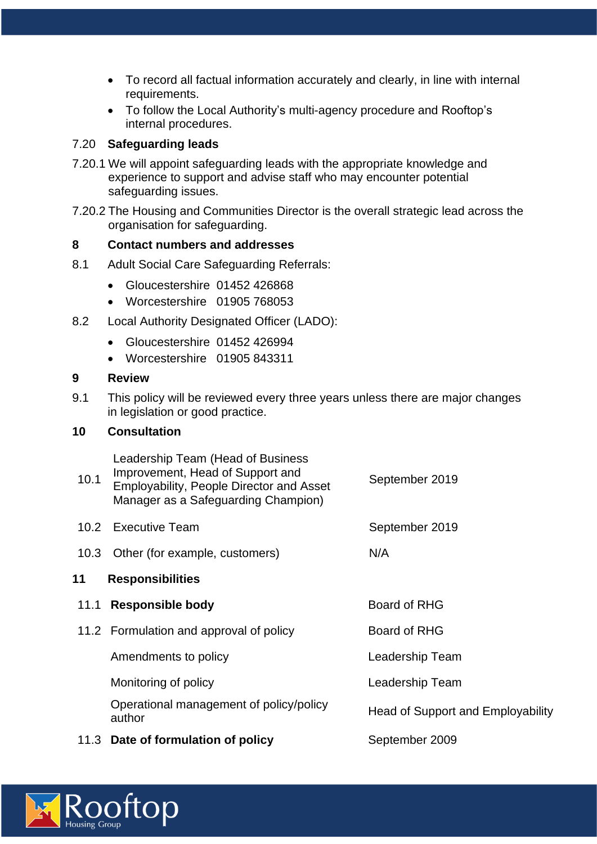- To record all factual information accurately and clearly, in line with internal requirements.
- To follow the Local Authority's multi-agency procedure and Rooftop's internal procedures.

## 7.20 **Safeguarding leads**

- 7.20.1 We will appoint safeguarding leads with the appropriate knowledge and experience to support and advise staff who may encounter potential safeguarding issues.
- 7.20.2 The Housing and Communities Director is the overall strategic lead across the organisation for safeguarding.

#### **8 Contact numbers and addresses**

- 8.1 Adult Social Care Safeguarding Referrals:
	- Gloucestershire 01452 426868
	- Worcestershire 01905 768053
- 8.2 Local Authority Designated Officer (LADO):
	- Gloucestershire 01452 426994
	- Worcestershire 01905 843311

#### **9 Review**

9.1 This policy will be reviewed every three years unless there are major changes in legislation or good practice.

## **10 Consultation**

Leadership Team (Head of Business

| 10.1              | Improvement, Head of Support and<br><b>Employability, People Director and Asset</b><br>Manager as a Safeguarding Champion) | September 2019                           |
|-------------------|----------------------------------------------------------------------------------------------------------------------------|------------------------------------------|
| 10.2 <sub>1</sub> | <b>Executive Team</b>                                                                                                      | September 2019                           |
|                   | 10.3 Other (for example, customers)                                                                                        | N/A                                      |
| 11                | <b>Responsibilities</b>                                                                                                    |                                          |
| 11.1              | <b>Responsible body</b>                                                                                                    | Board of RHG                             |
|                   | 11.2 Formulation and approval of policy                                                                                    | Board of RHG                             |
|                   | Amendments to policy                                                                                                       | Leadership Team                          |
|                   | Monitoring of policy                                                                                                       | Leadership Team                          |
|                   | Operational management of policy/policy<br>author                                                                          | <b>Head of Support and Employability</b> |
|                   | 11.3 Date of formulation of policy                                                                                         | September 2009                           |